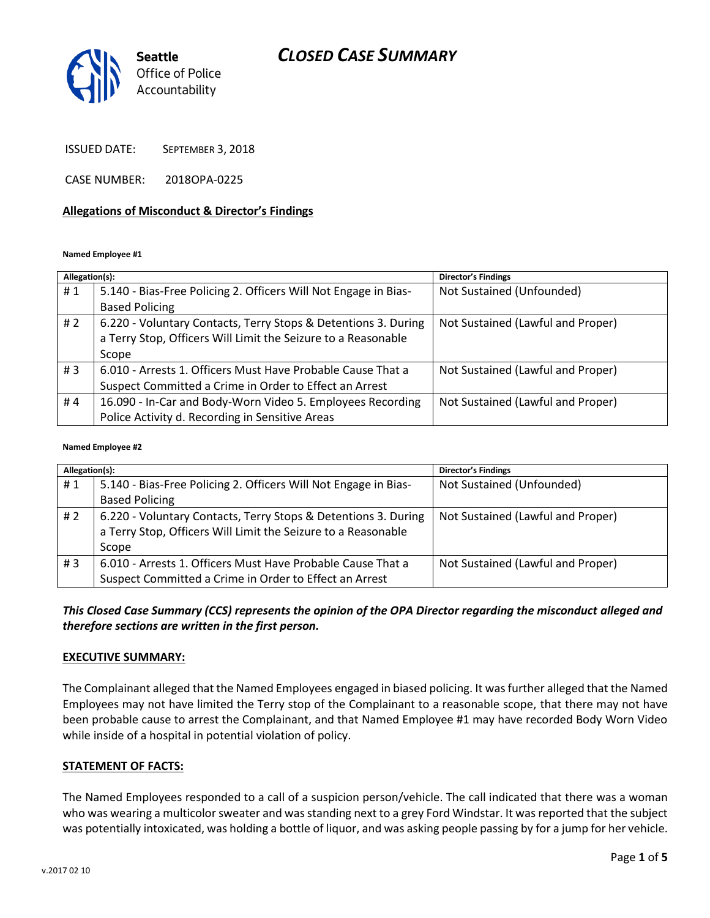## *CLOSED CASE SUMMARY*



ISSUED DATE: SEPTEMBER 3, 2018

CASE NUMBER: 2018OPA-0225

#### **Allegations of Misconduct & Director's Findings**

#### **Named Employee #1**

| Allegation(s): |                                                                 | <b>Director's Findings</b>        |
|----------------|-----------------------------------------------------------------|-----------------------------------|
| #1             | 5.140 - Bias-Free Policing 2. Officers Will Not Engage in Bias- | Not Sustained (Unfounded)         |
|                | <b>Based Policing</b>                                           |                                   |
| # $2$          | 6.220 - Voluntary Contacts, Terry Stops & Detentions 3. During  | Not Sustained (Lawful and Proper) |
|                | a Terry Stop, Officers Will Limit the Seizure to a Reasonable   |                                   |
|                | Scope                                                           |                                   |
| # $3$          | 6.010 - Arrests 1. Officers Must Have Probable Cause That a     | Not Sustained (Lawful and Proper) |
|                | Suspect Committed a Crime in Order to Effect an Arrest          |                                   |
| #4             | 16.090 - In-Car and Body-Worn Video 5. Employees Recording      | Not Sustained (Lawful and Proper) |
|                | Police Activity d. Recording in Sensitive Areas                 |                                   |

#### **Named Employee #2**

| Allegation(s): |                                                                 | <b>Director's Findings</b>        |
|----------------|-----------------------------------------------------------------|-----------------------------------|
| #1             | 5.140 - Bias-Free Policing 2. Officers Will Not Engage in Bias- | Not Sustained (Unfounded)         |
|                | <b>Based Policing</b>                                           |                                   |
| #2             | 6.220 - Voluntary Contacts, Terry Stops & Detentions 3. During  | Not Sustained (Lawful and Proper) |
|                | a Terry Stop, Officers Will Limit the Seizure to a Reasonable   |                                   |
|                | Scope                                                           |                                   |
| # $3$          | 6.010 - Arrests 1. Officers Must Have Probable Cause That a     | Not Sustained (Lawful and Proper) |
|                | Suspect Committed a Crime in Order to Effect an Arrest          |                                   |

#### *This Closed Case Summary (CCS) represents the opinion of the OPA Director regarding the misconduct alleged and therefore sections are written in the first person.*

#### **EXECUTIVE SUMMARY:**

The Complainant alleged that the Named Employees engaged in biased policing. It was further alleged that the Named Employees may not have limited the Terry stop of the Complainant to a reasonable scope, that there may not have been probable cause to arrest the Complainant, and that Named Employee #1 may have recorded Body Worn Video while inside of a hospital in potential violation of policy.

#### **STATEMENT OF FACTS:**

The Named Employees responded to a call of a suspicion person/vehicle. The call indicated that there was a woman who was wearing a multicolor sweater and was standing next to a grey Ford Windstar. It was reported that the subject was potentially intoxicated, was holding a bottle of liquor, and was asking people passing by for a jump for her vehicle.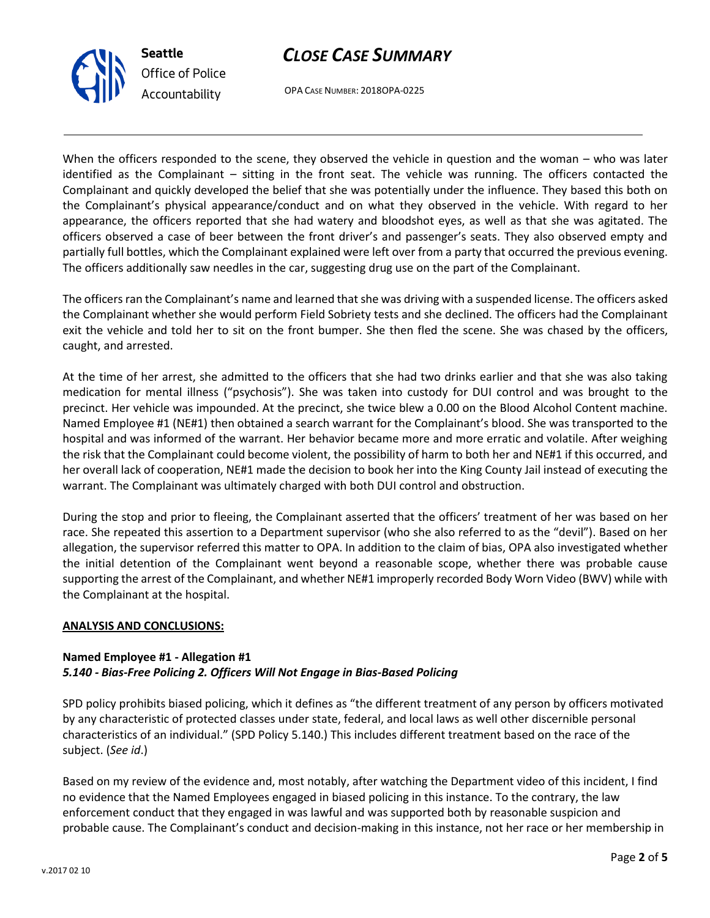# *CLOSE CASE SUMMARY*



OPA CASE NUMBER: 2018OPA-0225

When the officers responded to the scene, they observed the vehicle in question and the woman – who was later identified as the Complainant – sitting in the front seat. The vehicle was running. The officers contacted the Complainant and quickly developed the belief that she was potentially under the influence. They based this both on the Complainant's physical appearance/conduct and on what they observed in the vehicle. With regard to her appearance, the officers reported that she had watery and bloodshot eyes, as well as that she was agitated. The officers observed a case of beer between the front driver's and passenger's seats. They also observed empty and partially full bottles, which the Complainant explained were left over from a party that occurred the previous evening. The officers additionally saw needles in the car, suggesting drug use on the part of the Complainant.

The officers ran the Complainant's name and learned that she was driving with a suspended license. The officers asked the Complainant whether she would perform Field Sobriety tests and she declined. The officers had the Complainant exit the vehicle and told her to sit on the front bumper. She then fled the scene. She was chased by the officers, caught, and arrested.

At the time of her arrest, she admitted to the officers that she had two drinks earlier and that she was also taking medication for mental illness ("psychosis"). She was taken into custody for DUI control and was brought to the precinct. Her vehicle was impounded. At the precinct, she twice blew a 0.00 on the Blood Alcohol Content machine. Named Employee #1 (NE#1) then obtained a search warrant for the Complainant's blood. She was transported to the hospital and was informed of the warrant. Her behavior became more and more erratic and volatile. After weighing the risk that the Complainant could become violent, the possibility of harm to both her and NE#1 if this occurred, and her overall lack of cooperation, NE#1 made the decision to book her into the King County Jail instead of executing the warrant. The Complainant was ultimately charged with both DUI control and obstruction.

During the stop and prior to fleeing, the Complainant asserted that the officers' treatment of her was based on her race. She repeated this assertion to a Department supervisor (who she also referred to as the "devil"). Based on her allegation, the supervisor referred this matter to OPA. In addition to the claim of bias, OPA also investigated whether the initial detention of the Complainant went beyond a reasonable scope, whether there was probable cause supporting the arrest of the Complainant, and whether NE#1 improperly recorded Body Worn Video (BWV) while with the Complainant at the hospital.

#### **ANALYSIS AND CONCLUSIONS:**

### **Named Employee #1 - Allegation #1** *5.140 - Bias-Free Policing 2. Officers Will Not Engage in Bias-Based Policing*

SPD policy prohibits biased policing, which it defines as "the different treatment of any person by officers motivated by any characteristic of protected classes under state, federal, and local laws as well other discernible personal characteristics of an individual." (SPD Policy 5.140.) This includes different treatment based on the race of the subject. (*See id*.)

Based on my review of the evidence and, most notably, after watching the Department video of this incident, I find no evidence that the Named Employees engaged in biased policing in this instance. To the contrary, the law enforcement conduct that they engaged in was lawful and was supported both by reasonable suspicion and probable cause. The Complainant's conduct and decision-making in this instance, not her race or her membership in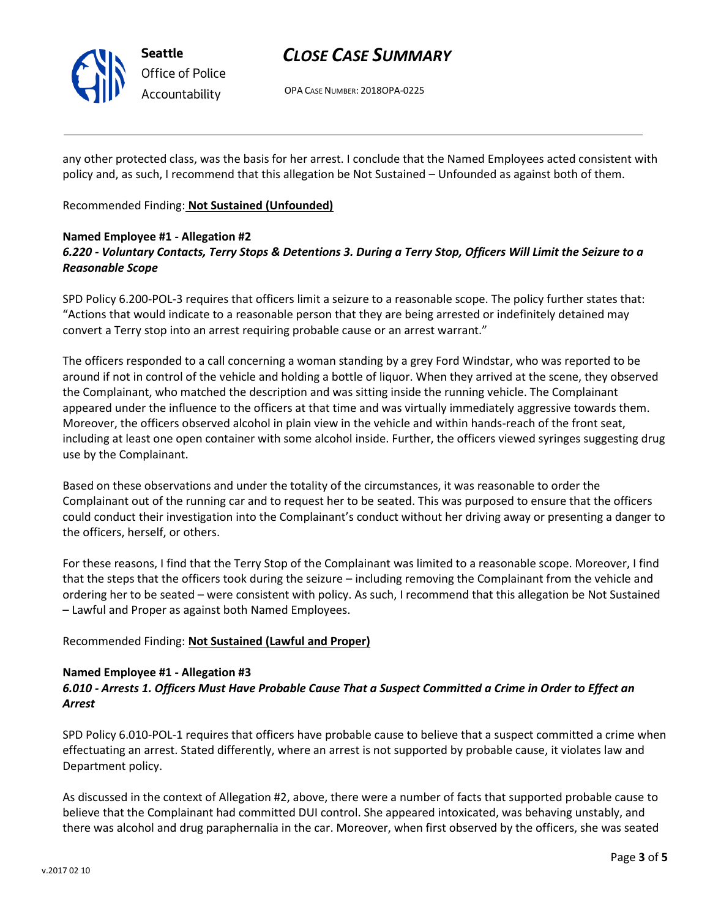

# *CLOSE CASE SUMMARY*

OPA CASE NUMBER: 2018OPA-0225

any other protected class, was the basis for her arrest. I conclude that the Named Employees acted consistent with policy and, as such, I recommend that this allegation be Not Sustained – Unfounded as against both of them.

Recommended Finding: **Not Sustained (Unfounded)**

### **Named Employee #1 - Allegation #2** *6.220 - Voluntary Contacts, Terry Stops & Detentions 3. During a Terry Stop, Officers Will Limit the Seizure to a Reasonable Scope*

SPD Policy 6.200-POL-3 requires that officers limit a seizure to a reasonable scope. The policy further states that: "Actions that would indicate to a reasonable person that they are being arrested or indefinitely detained may convert a Terry stop into an arrest requiring probable cause or an arrest warrant."

The officers responded to a call concerning a woman standing by a grey Ford Windstar, who was reported to be around if not in control of the vehicle and holding a bottle of liquor. When they arrived at the scene, they observed the Complainant, who matched the description and was sitting inside the running vehicle. The Complainant appeared under the influence to the officers at that time and was virtually immediately aggressive towards them. Moreover, the officers observed alcohol in plain view in the vehicle and within hands-reach of the front seat, including at least one open container with some alcohol inside. Further, the officers viewed syringes suggesting drug use by the Complainant.

Based on these observations and under the totality of the circumstances, it was reasonable to order the Complainant out of the running car and to request her to be seated. This was purposed to ensure that the officers could conduct their investigation into the Complainant's conduct without her driving away or presenting a danger to the officers, herself, or others.

For these reasons, I find that the Terry Stop of the Complainant was limited to a reasonable scope. Moreover, I find that the steps that the officers took during the seizure – including removing the Complainant from the vehicle and ordering her to be seated – were consistent with policy. As such, I recommend that this allegation be Not Sustained – Lawful and Proper as against both Named Employees.

### Recommended Finding: **Not Sustained (Lawful and Proper)**

#### **Named Employee #1 - Allegation #3**

### *6.010 - Arrests 1. Officers Must Have Probable Cause That a Suspect Committed a Crime in Order to Effect an Arrest*

SPD Policy 6.010-POL-1 requires that officers have probable cause to believe that a suspect committed a crime when effectuating an arrest. Stated differently, where an arrest is not supported by probable cause, it violates law and Department policy.

As discussed in the context of Allegation #2, above, there were a number of facts that supported probable cause to believe that the Complainant had committed DUI control. She appeared intoxicated, was behaving unstably, and there was alcohol and drug paraphernalia in the car. Moreover, when first observed by the officers, she was seated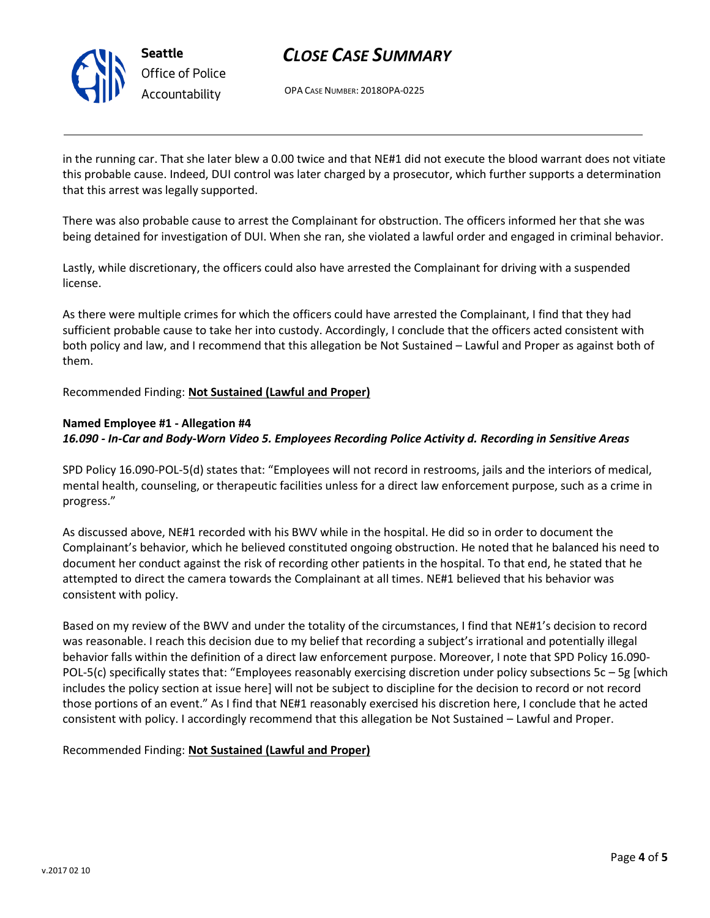

**Seattle** *Office of Police Accountability*

# *CLOSE CASE SUMMARY*

OPA CASE NUMBER: 2018OPA-0225

in the running car. That she later blew a 0.00 twice and that NE#1 did not execute the blood warrant does not vitiate this probable cause. Indeed, DUI control was later charged by a prosecutor, which further supports a determination that this arrest was legally supported.

There was also probable cause to arrest the Complainant for obstruction. The officers informed her that she was being detained for investigation of DUI. When she ran, she violated a lawful order and engaged in criminal behavior.

Lastly, while discretionary, the officers could also have arrested the Complainant for driving with a suspended license.

As there were multiple crimes for which the officers could have arrested the Complainant, I find that they had sufficient probable cause to take her into custody. Accordingly, I conclude that the officers acted consistent with both policy and law, and I recommend that this allegation be Not Sustained – Lawful and Proper as against both of them.

Recommended Finding: **Not Sustained (Lawful and Proper)**

#### **Named Employee #1 - Allegation #4**

*16.090 - In-Car and Body-Worn Video 5. Employees Recording Police Activity d. Recording in Sensitive Areas*

SPD Policy 16.090-POL-5(d) states that: "Employees will not record in restrooms, jails and the interiors of medical, mental health, counseling, or therapeutic facilities unless for a direct law enforcement purpose, such as a crime in progress."

As discussed above, NE#1 recorded with his BWV while in the hospital. He did so in order to document the Complainant's behavior, which he believed constituted ongoing obstruction. He noted that he balanced his need to document her conduct against the risk of recording other patients in the hospital. To that end, he stated that he attempted to direct the camera towards the Complainant at all times. NE#1 believed that his behavior was consistent with policy.

Based on my review of the BWV and under the totality of the circumstances, I find that NE#1's decision to record was reasonable. I reach this decision due to my belief that recording a subject's irrational and potentially illegal behavior falls within the definition of a direct law enforcement purpose. Moreover, I note that SPD Policy 16.090- POL-5(c) specifically states that: "Employees reasonably exercising discretion under policy subsections  $5c - 5g$  [which includes the policy section at issue here] will not be subject to discipline for the decision to record or not record those portions of an event." As I find that NE#1 reasonably exercised his discretion here, I conclude that he acted consistent with policy. I accordingly recommend that this allegation be Not Sustained – Lawful and Proper.

Recommended Finding: **Not Sustained (Lawful and Proper)**